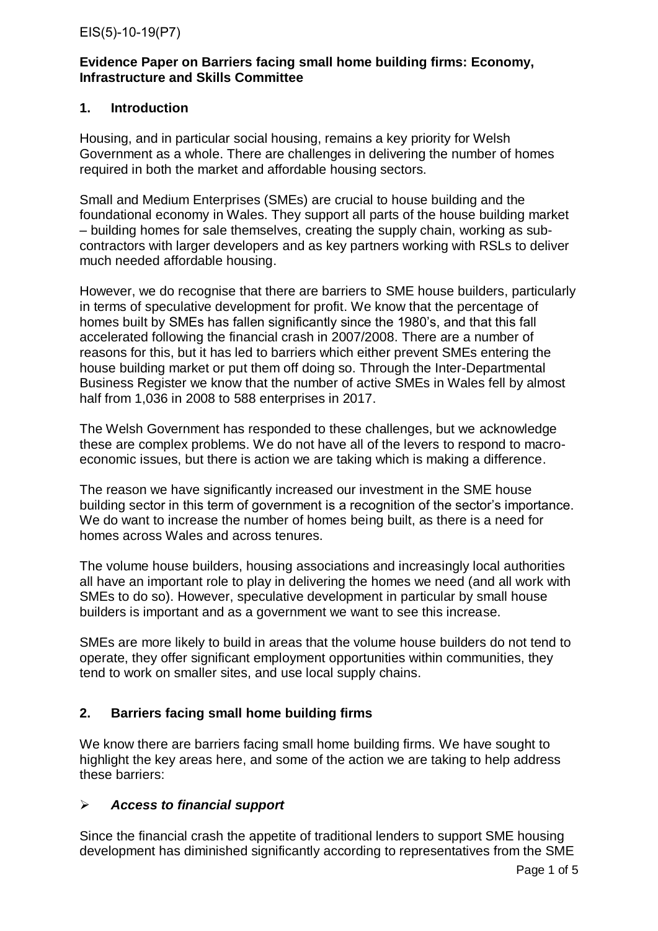## **Evidence Paper on Barriers facing small home building firms: Economy, Infrastructure and Skills Committee**

# **1. Introduction**

Housing, and in particular social housing, remains a key priority for Welsh Government as a whole. There are challenges in delivering the number of homes required in both the market and affordable housing sectors.

Small and Medium Enterprises (SMEs) are crucial to house building and the foundational economy in Wales. They support all parts of the house building market – building homes for sale themselves, creating the supply chain, working as subcontractors with larger developers and as key partners working with RSLs to deliver much needed affordable housing.

However, we do recognise that there are barriers to SME house builders, particularly in terms of speculative development for profit. We know that the percentage of homes built by SMEs has fallen significantly since the 1980's, and that this fall accelerated following the financial crash in 2007/2008. There are a number of reasons for this, but it has led to barriers which either prevent SMEs entering the house building market or put them off doing so. Through the Inter-Departmental Business Register we know that the number of active SMEs in Wales fell by almost half from 1,036 in 2008 to 588 enterprises in 2017.

The Welsh Government has responded to these challenges, but we acknowledge these are complex problems. We do not have all of the levers to respond to macroeconomic issues, but there is action we are taking which is making a difference.

The reason we have significantly increased our investment in the SME house building sector in this term of government is a recognition of the sector's importance. We do want to increase the number of homes being built, as there is a need for homes across Wales and across tenures.

The volume house builders, housing associations and increasingly local authorities all have an important role to play in delivering the homes we need (and all work with SMEs to do so). However, speculative development in particular by small house builders is important and as a government we want to see this increase.

SMEs are more likely to build in areas that the volume house builders do not tend to operate, they offer significant employment opportunities within communities, they tend to work on smaller sites, and use local supply chains.

# **2. Barriers facing small home building firms**

We know there are barriers facing small home building firms. We have sought to highlight the key areas here, and some of the action we are taking to help address these barriers:

## *Access to financial support*

Since the financial crash the appetite of traditional lenders to support SME housing development has diminished significantly according to representatives from the SME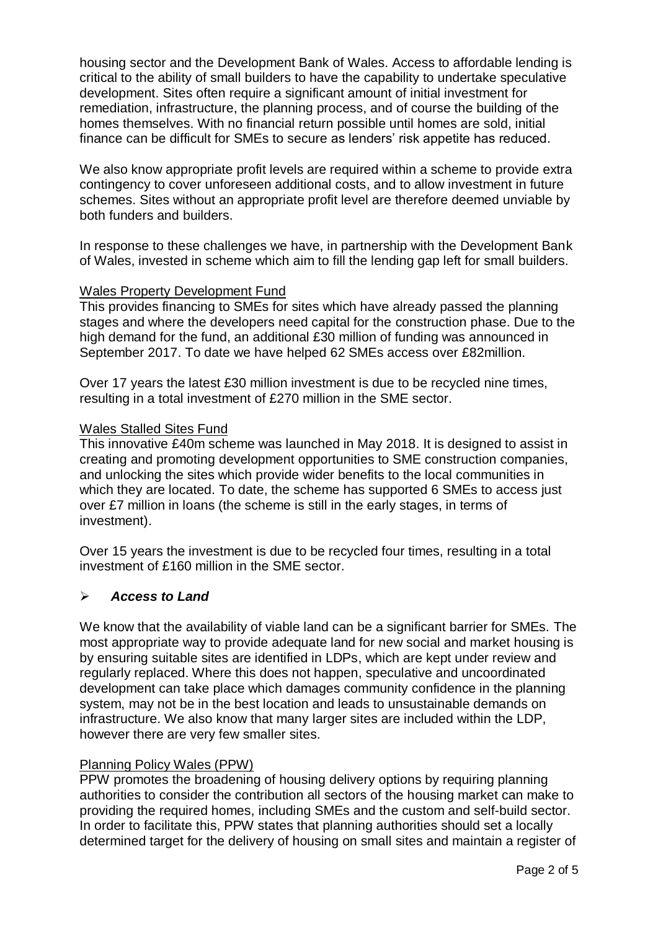housing sector and the Development Bank of Wales. Access to affordable lending is critical to the ability of small builders to have the capability to undertake speculative development. Sites often require a significant amount of initial investment for remediation, infrastructure, the planning process, and of course the building of the homes themselves. With no financial return possible until homes are sold, initial finance can be difficult for SMEs to secure as lenders' risk appetite has reduced.

We also know appropriate profit levels are required within a scheme to provide extra contingency to cover unforeseen additional costs, and to allow investment in future schemes. Sites without an appropriate profit level are therefore deemed unviable by both funders and builders.

In response to these challenges we have, in partnership with the Development Bank of Wales, invested in scheme which aim to fill the lending gap left for small builders.

## Wales Property Development Fund

This provides financing to SMEs for sites which have already passed the planning stages and where the developers need capital for the construction phase. Due to the high demand for the fund, an additional £30 million of funding was announced in September 2017. To date we have helped 62 SMEs access over £82million.

Over 17 years the latest £30 million investment is due to be recycled nine times, resulting in a total investment of £270 million in the SME sector.

#### Wales Stalled Sites Fund

This innovative £40m scheme was launched in May 2018. It is designed to assist in creating and promoting development opportunities to SME construction companies, and unlocking the sites which provide wider benefits to the local communities in which they are located. To date, the scheme has supported 6 SMEs to access just over £7 million in loans (the scheme is still in the early stages, in terms of investment).

Over 15 years the investment is due to be recycled four times, resulting in a total investment of £160 million in the SME sector.

## *Access to Land*

We know that the availability of viable land can be a significant barrier for SMEs. The most appropriate way to provide adequate land for new social and market housing is by ensuring suitable sites are identified in LDPs, which are kept under review and regularly replaced. Where this does not happen, speculative and uncoordinated development can take place which damages community confidence in the planning system, may not be in the best location and leads to unsustainable demands on infrastructure. We also know that many larger sites are included within the LDP, however there are very few smaller sites.

#### Planning Policy Wales (PPW)

PPW promotes the broadening of housing delivery options by requiring planning authorities to consider the contribution all sectors of the housing market can make to providing the required homes, including SMEs and the custom and self-build sector. In order to facilitate this, PPW states that planning authorities should set a locally determined target for the delivery of housing on small sites and maintain a register of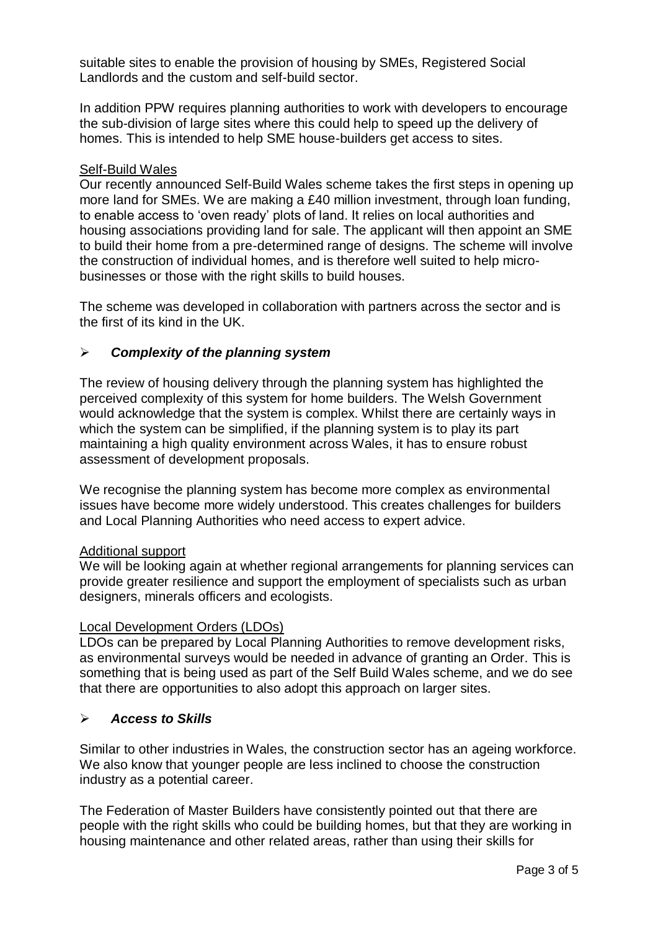suitable sites to enable the provision of housing by SMEs, Registered Social Landlords and the custom and self-build sector.

In addition PPW requires planning authorities to work with developers to encourage the sub-division of large sites where this could help to speed up the delivery of homes. This is intended to help SME house-builders get access to sites.

## Self-Build Wales

Our recently announced Self-Build Wales scheme takes the first steps in opening up more land for SMEs. We are making a £40 million investment, through loan funding, to enable access to 'oven ready' plots of land. It relies on local authorities and housing associations providing land for sale. The applicant will then appoint an SME to build their home from a pre-determined range of designs. The scheme will involve the construction of individual homes, and is therefore well suited to help microbusinesses or those with the right skills to build houses.

The scheme was developed in collaboration with partners across the sector and is the first of its kind in the UK.

# *Complexity of the planning system*

The review of housing delivery through the planning system has highlighted the perceived complexity of this system for home builders. The Welsh Government would acknowledge that the system is complex. Whilst there are certainly ways in which the system can be simplified, if the planning system is to play its part maintaining a high quality environment across Wales, it has to ensure robust assessment of development proposals.

We recognise the planning system has become more complex as environmental issues have become more widely understood. This creates challenges for builders and Local Planning Authorities who need access to expert advice.

## Additional support

We will be looking again at whether regional arrangements for planning services can provide greater resilience and support the employment of specialists such as urban designers, minerals officers and ecologists.

## Local Development Orders (LDOs)

LDOs can be prepared by Local Planning Authorities to remove development risks, as environmental surveys would be needed in advance of granting an Order. This is something that is being used as part of the Self Build Wales scheme, and we do see that there are opportunities to also adopt this approach on larger sites.

## *Access to Skills*

Similar to other industries in Wales, the construction sector has an ageing workforce. We also know that younger people are less inclined to choose the construction industry as a potential career.

The Federation of Master Builders have consistently pointed out that there are people with the right skills who could be building homes, but that they are working in housing maintenance and other related areas, rather than using their skills for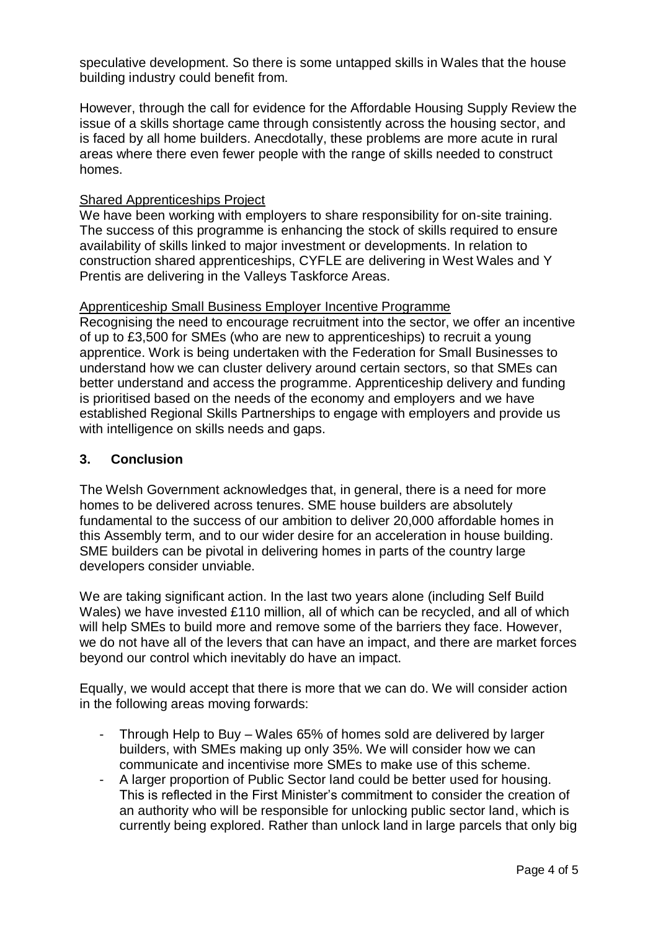speculative development. So there is some untapped skills in Wales that the house building industry could benefit from.

However, through the call for evidence for the Affordable Housing Supply Review the issue of a skills shortage came through consistently across the housing sector, and is faced by all home builders. Anecdotally, these problems are more acute in rural areas where there even fewer people with the range of skills needed to construct homes.

#### Shared Apprenticeships Project

We have been working with employers to share responsibility for on-site training. The success of this programme is enhancing the stock of skills required to ensure availability of skills linked to major investment or developments. In relation to construction shared apprenticeships, CYFLE are delivering in West Wales and Y Prentis are delivering in the Valleys Taskforce Areas.

#### Apprenticeship Small Business Employer Incentive Programme

Recognising the need to encourage recruitment into the sector, we offer an incentive of up to £3,500 for SMEs (who are new to apprenticeships) to recruit a young apprentice. Work is being undertaken with the Federation for Small Businesses to understand how we can cluster delivery around certain sectors, so that SMEs can better understand and access the programme. Apprenticeship delivery and funding is prioritised based on the needs of the economy and employers and we have established Regional Skills Partnerships to engage with employers and provide us with intelligence on skills needs and gaps.

#### **3. Conclusion**

The Welsh Government acknowledges that, in general, there is a need for more homes to be delivered across tenures. SME house builders are absolutely fundamental to the success of our ambition to deliver 20,000 affordable homes in this Assembly term, and to our wider desire for an acceleration in house building. SME builders can be pivotal in delivering homes in parts of the country large developers consider unviable.

We are taking significant action. In the last two years alone (including Self Build Wales) we have invested £110 million, all of which can be recycled, and all of which will help SMEs to build more and remove some of the barriers they face. However, we do not have all of the levers that can have an impact, and there are market forces beyond our control which inevitably do have an impact.

Equally, we would accept that there is more that we can do. We will consider action in the following areas moving forwards:

- Through Help to Buy Wales 65% of homes sold are delivered by larger builders, with SMEs making up only 35%. We will consider how we can communicate and incentivise more SMEs to make use of this scheme.
- A larger proportion of Public Sector land could be better used for housing. This is reflected in the First Minister's commitment to consider the creation of an authority who will be responsible for unlocking public sector land, which is currently being explored. Rather than unlock land in large parcels that only big